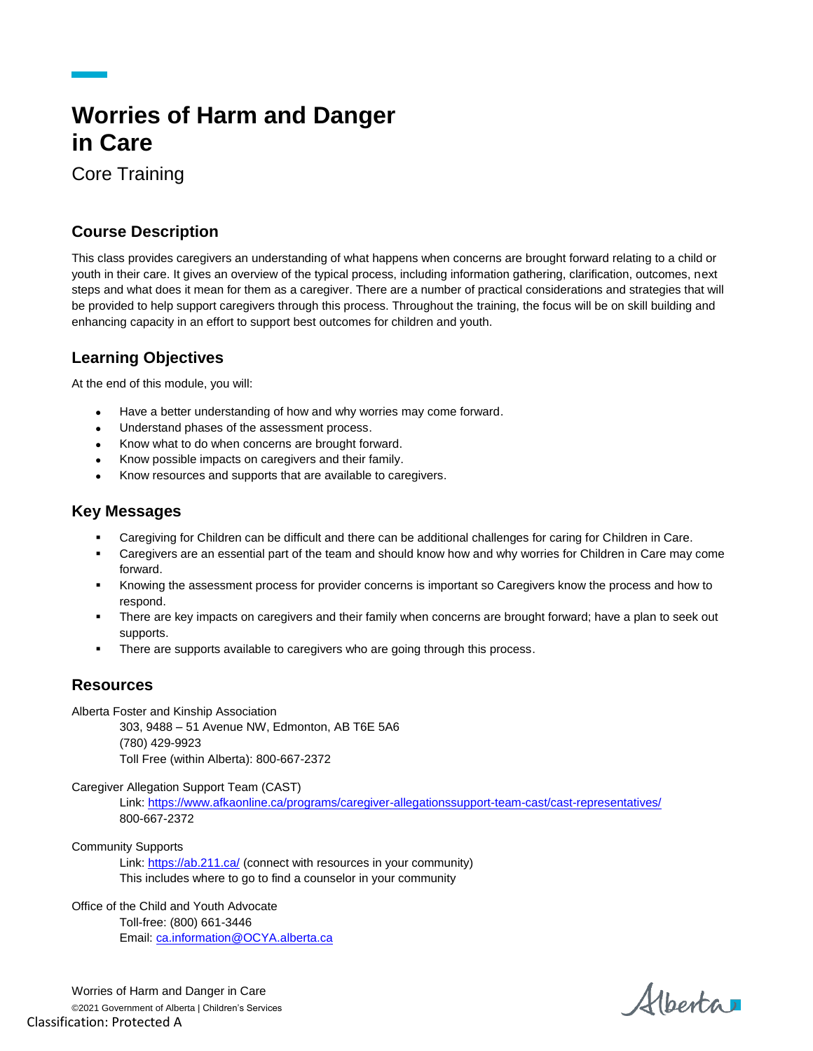# **Worries of Harm and Danger in Care**

Core Training

# **Course Description**

This class provides caregivers an understanding of what happens when concerns are brought forward relating to a child or youth in their care. It gives an overview of the typical process, including information gathering, clarification, outcomes, next steps and what does it mean for them as a caregiver. There are a number of practical considerations and strategies that will be provided to help support caregivers through this process. Throughout the training, the focus will be on skill building and enhancing capacity in an effort to support best outcomes for children and youth.

## **Learning Objectives**

At the end of this module, you will:

- Have a better understanding of how and why worries may come forward.
- Understand phases of the assessment process.
- Know what to do when concerns are brought forward.
- Know possible impacts on caregivers and their family.
- Know resources and supports that are available to caregivers.

### **Key Messages**

- Caregiving for Children can be difficult and there can be additional challenges for caring for Children in Care.
- Caregivers are an essential part of the team and should know how and why worries for Children in Care may come forward.
- Knowing the assessment process for provider concerns is important so Caregivers know the process and how to respond.
- There are key impacts on caregivers and their family when concerns are brought forward; have a plan to seek out supports.
- There are supports available to caregivers who are going through this process.

## **Resources**

Alberta Foster and Kinship Association

303, 9488 – 51 Avenue NW, Edmonton, AB T6E 5A6 (780) 429-9923 Toll Free (within Alberta): 800-667-2372

Caregiver Allegation Support Team (CAST)

Link[: https://www.afkaonline.ca/programs/caregiver-allegationssupport-team-cast/cast-representatives/](https://www.afkaonline.ca/programs/caregiver-allegationssupport-team-cast/cast-representatives/) 800-667-2372

Community Supports

Link[: https://ab.211.ca/](https://ab.211.ca/) (connect with resources in your community) This includes where to go to find a counselor in your community

Office of the Child and Youth Advocate Toll-free: (800) 661-3446 Email[: ca.information@OCYA.alberta.ca](mailto:ca.information@OCYA.alberta.ca)

Worries of Harm and Danger in Care ©2021 Government of Alberta | Children's Services Classification: Protected A

Albertar